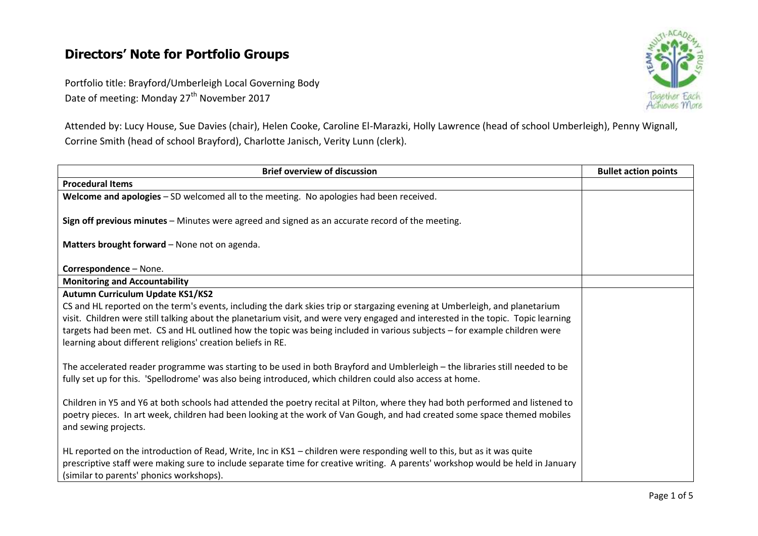# **Directors' Note for Portfolio Groups**

Portfolio title: Brayford/Umberleigh Local Governing Body Date of meeting: Monday 27<sup>th</sup> November 2017



Attended by: Lucy House, Sue Davies (chair), Helen Cooke, Caroline El-Marazki, Holly Lawrence (head of school Umberleigh), Penny Wignall, Corrine Smith (head of school Brayford), Charlotte Janisch, Verity Lunn (clerk).

| <b>Brief overview of discussion</b>                                                                                               | <b>Bullet action points</b> |
|-----------------------------------------------------------------------------------------------------------------------------------|-----------------------------|
| <b>Procedural Items</b>                                                                                                           |                             |
| Welcome and apologies - SD welcomed all to the meeting. No apologies had been received.                                           |                             |
| Sign off previous minutes - Minutes were agreed and signed as an accurate record of the meeting.                                  |                             |
| Matters brought forward - None not on agenda.                                                                                     |                             |
| Correspondence - None.                                                                                                            |                             |
| <b>Monitoring and Accountability</b>                                                                                              |                             |
| Autumn Curriculum Update KS1/KS2                                                                                                  |                             |
| CS and HL reported on the term's events, including the dark skies trip or stargazing evening at Umberleigh, and planetarium       |                             |
| visit. Children were still talking about the planetarium visit, and were very engaged and interested in the topic. Topic learning |                             |
| targets had been met. CS and HL outlined how the topic was being included in various subjects - for example children were         |                             |
| learning about different religions' creation beliefs in RE.                                                                       |                             |
| The accelerated reader programme was starting to be used in both Brayford and Umblerleigh - the libraries still needed to be      |                             |
| fully set up for this. 'Spellodrome' was also being introduced, which children could also access at home.                         |                             |
|                                                                                                                                   |                             |
| Children in Y5 and Y6 at both schools had attended the poetry recital at Pilton, where they had both performed and listened to    |                             |
| poetry pieces. In art week, children had been looking at the work of Van Gough, and had created some space themed mobiles         |                             |
| and sewing projects.                                                                                                              |                             |
|                                                                                                                                   |                             |
| HL reported on the introduction of Read, Write, Inc in KS1 - children were responding well to this, but as it was quite           |                             |
| prescriptive staff were making sure to include separate time for creative writing. A parents' workshop would be held in January   |                             |
| (similar to parents' phonics workshops).                                                                                          |                             |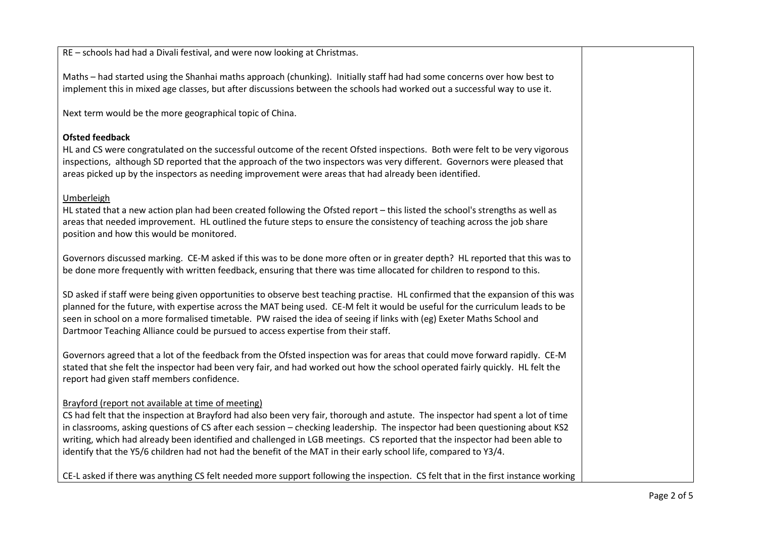RE – schools had had a Divali festival, and were now looking at Christmas.

Maths – had started using the Shanhai maths approach (chunking). Initially staff had had some concerns over how best to implement this in mixed age classes, but after discussions between the schools had worked out a successful way to use it.

Next term would be the more geographical topic of China.

### **Ofsted feedback**

HL and CS were congratulated on the successful outcome of the recent Ofsted inspections. Both were felt to be very vigorous inspections, although SD reported that the approach of the two inspectors was very different. Governors were pleased that areas picked up by the inspectors as needing improvement were areas that had already been identified.

#### Umberleigh

HL stated that a new action plan had been created following the Ofsted report – this listed the school's strengths as well as areas that needed improvement. HL outlined the future steps to ensure the consistency of teaching across the job share position and how this would be monitored.

Governors discussed marking. CE-M asked if this was to be done more often or in greater depth? HL reported that this was to be done more frequently with written feedback, ensuring that there was time allocated for children to respond to this.

SD asked if staff were being given opportunities to observe best teaching practise. HL confirmed that the expansion of this was planned for the future, with expertise across the MAT being used. CE-M felt it would be useful for the curriculum leads to be seen in school on a more formalised timetable. PW raised the idea of seeing if links with (eg) Exeter Maths School and Dartmoor Teaching Alliance could be pursued to access expertise from their staff.

Governors agreed that a lot of the feedback from the Ofsted inspection was for areas that could move forward rapidly. CE-M stated that she felt the inspector had been very fair, and had worked out how the school operated fairly quickly. HL felt the report had given staff members confidence.

### Brayford (report not available at time of meeting)

CS had felt that the inspection at Brayford had also been very fair, thorough and astute. The inspector had spent a lot of time in classrooms, asking questions of CS after each session – checking leadership. The inspector had been questioning about KS2 writing, which had already been identified and challenged in LGB meetings. CS reported that the inspector had been able to identify that the Y5/6 children had not had the benefit of the MAT in their early school life, compared to Y3/4.

CE-L asked if there was anything CS felt needed more support following the inspection. CS felt that in the first instance working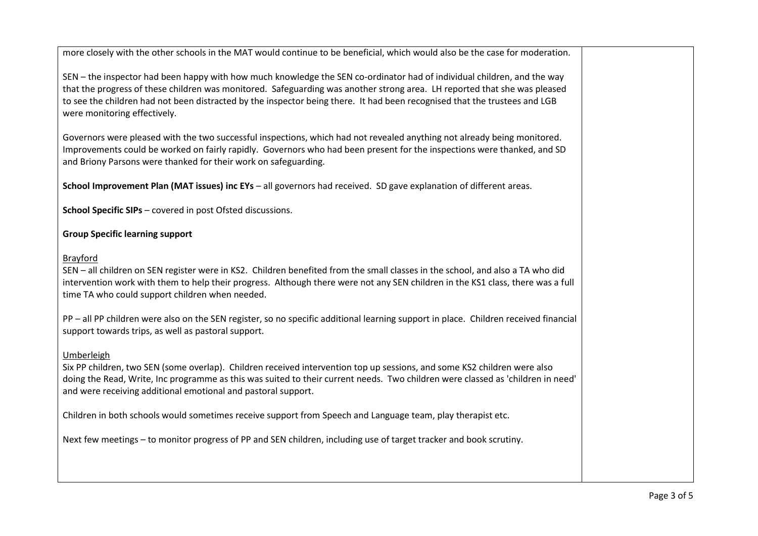more closely with the other schools in the MAT would continue to be beneficial, which would also be the case for moderation.

SEN – the inspector had been happy with how much knowledge the SEN co-ordinator had of individual children, and the way that the progress of these children was monitored. Safeguarding was another strong area. LH reported that she was pleased to see the children had not been distracted by the inspector being there. It had been recognised that the trustees and LGB were monitoring effectively.

Governors were pleased with the two successful inspections, which had not revealed anything not already being monitored. Improvements could be worked on fairly rapidly. Governors who had been present for the inspections were thanked, and SD and Briony Parsons were thanked for their work on safeguarding.

**School Improvement Plan (MAT issues) inc EYs** – all governors had received. SD gave explanation of different areas.

**School Specific SIPs** – covered in post Ofsted discussions.

## **Group Specific learning support**

### Brayford

SEN – all children on SEN register were in KS2. Children benefited from the small classes in the school, and also a TA who did intervention work with them to help their progress. Although there were not any SEN children in the KS1 class, there was a full time TA who could support children when needed.

PP – all PP children were also on the SEN register, so no specific additional learning support in place. Children received financial support towards trips, as well as pastoral support.

## Umberleigh

Six PP children, two SEN (some overlap). Children received intervention top up sessions, and some KS2 children were also doing the Read, Write, Inc programme as this was suited to their current needs. Two children were classed as 'children in need' and were receiving additional emotional and pastoral support.

Children in both schools would sometimes receive support from Speech and Language team, play therapist etc.

Next few meetings – to monitor progress of PP and SEN children, including use of target tracker and book scrutiny.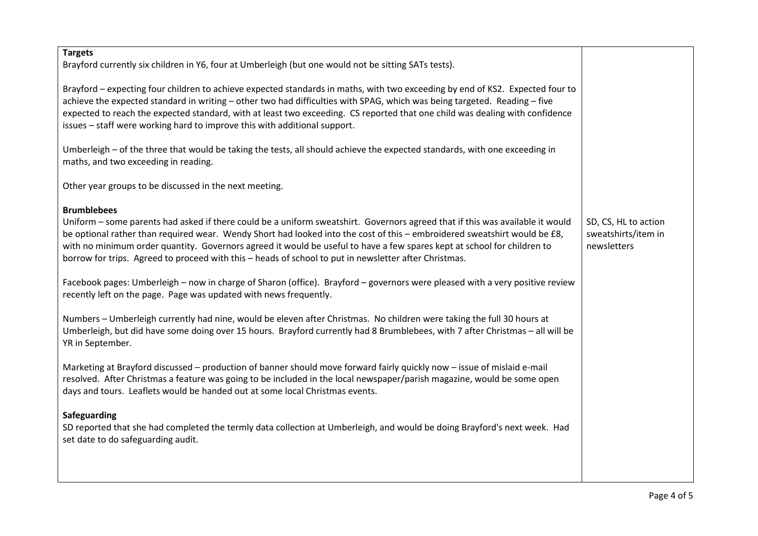| <b>Targets</b><br>Brayford currently six children in Y6, four at Umberleigh (but one would not be sitting SATs tests).                                                                                                                                                                                                                                                                                                                                                                                               |                                                            |
|----------------------------------------------------------------------------------------------------------------------------------------------------------------------------------------------------------------------------------------------------------------------------------------------------------------------------------------------------------------------------------------------------------------------------------------------------------------------------------------------------------------------|------------------------------------------------------------|
| Brayford - expecting four children to achieve expected standards in maths, with two exceeding by end of KS2. Expected four to<br>achieve the expected standard in writing - other two had difficulties with SPAG, which was being targeted. Reading - five<br>expected to reach the expected standard, with at least two exceeding. CS reported that one child was dealing with confidence<br>issues - staff were working hard to improve this with additional support.                                              |                                                            |
| Umberleigh - of the three that would be taking the tests, all should achieve the expected standards, with one exceeding in<br>maths, and two exceeding in reading.                                                                                                                                                                                                                                                                                                                                                   |                                                            |
| Other year groups to be discussed in the next meeting.                                                                                                                                                                                                                                                                                                                                                                                                                                                               |                                                            |
| <b>Brumblebees</b><br>Uniform – some parents had asked if there could be a uniform sweatshirt. Governors agreed that if this was available it would<br>be optional rather than required wear. Wendy Short had looked into the cost of this - embroidered sweatshirt would be £8,<br>with no minimum order quantity. Governors agreed it would be useful to have a few spares kept at school for children to<br>borrow for trips. Agreed to proceed with this - heads of school to put in newsletter after Christmas. | SD, CS, HL to action<br>sweatshirts/item in<br>newsletters |
| Facebook pages: Umberleigh - now in charge of Sharon (office). Brayford - governors were pleased with a very positive review<br>recently left on the page. Page was updated with news frequently.                                                                                                                                                                                                                                                                                                                    |                                                            |
| Numbers - Umberleigh currently had nine, would be eleven after Christmas. No children were taking the full 30 hours at<br>Umberleigh, but did have some doing over 15 hours. Brayford currently had 8 Brumblebees, with 7 after Christmas - all will be<br>YR in September.                                                                                                                                                                                                                                          |                                                            |
| Marketing at Brayford discussed - production of banner should move forward fairly quickly now - issue of mislaid e-mail<br>resolved. After Christmas a feature was going to be included in the local newspaper/parish magazine, would be some open<br>days and tours. Leaflets would be handed out at some local Christmas events.                                                                                                                                                                                   |                                                            |
| Safeguarding<br>SD reported that she had completed the termly data collection at Umberleigh, and would be doing Brayford's next week. Had<br>set date to do safeguarding audit.                                                                                                                                                                                                                                                                                                                                      |                                                            |
|                                                                                                                                                                                                                                                                                                                                                                                                                                                                                                                      |                                                            |